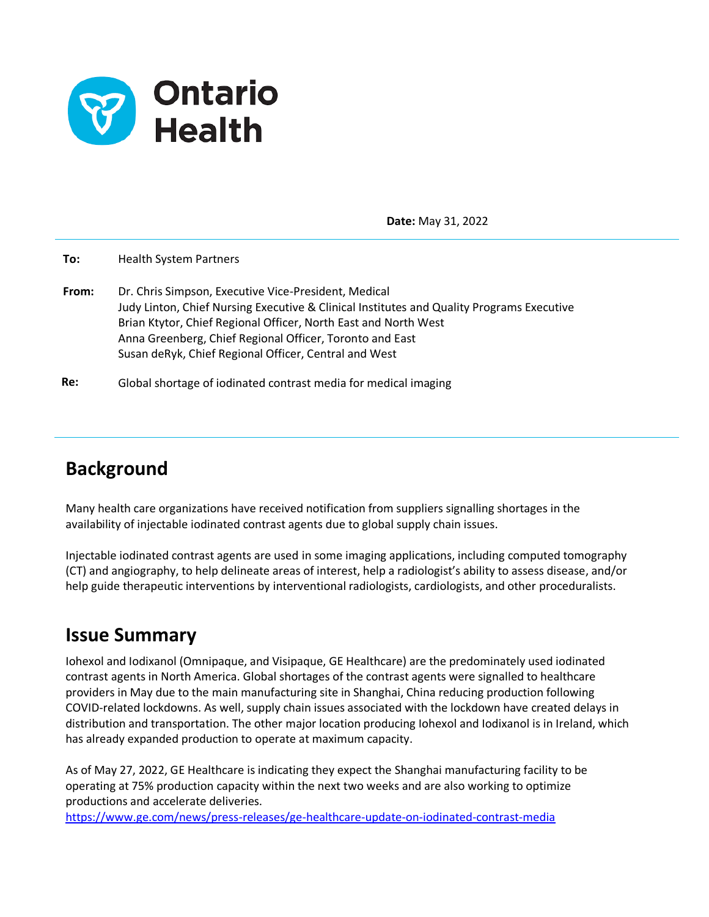

**Date:** May 31, 2022

**To:** Health System Partners

**From:** Dr. Chris Simpson, Executive Vice-President, Medical Judy Linton, Chief Nursing Executive & Clinical Institutes and Quality Programs Executive Brian Ktytor, Chief Regional Officer, North East and North West Anna Greenberg, Chief Regional Officer, Toronto and East Susan deRyk, Chief Regional Officer, Central and West

**Re:**  Global shortage of iodinated contrast media for medical imaging

# **Background**

Many health care organizations have received notification from suppliers signalling shortages in the availability of injectable iodinated contrast agents due to global supply chain issues.

Injectable iodinated contrast agents are used in some imaging applications, including computed tomography (CT) and angiography, to help delineate areas of interest, help a radiologist's ability to assess disease, and/or help guide therapeutic interventions by interventional radiologists, cardiologists, and other proceduralists.

# **Issue Summary**

Iohexol and Iodixanol (Omnipaque, and Visipaque, GE Healthcare) are the predominately used iodinated contrast agents in North America. Global shortages of the contrast agents were signalled to healthcare providers in May due to the main manufacturing site in Shanghai, China reducing production following COVID-related lockdowns. As well, supply chain issues associated with the lockdown have created delays in distribution and transportation. The other major location producing Iohexol and Iodixanol is in Ireland, which has already expanded production to operate at maximum capacity.

As of May 27, 2022, GE Healthcare is indicating they expect the Shanghai manufacturing facility to be operating at 75% production capacity within the next two weeks and are also working to optimize productions and accelerate deliveries.

[https://www.ge.com/news/press-releases/ge-healthcare-update-on-iodinated-contrast-media](about:blank)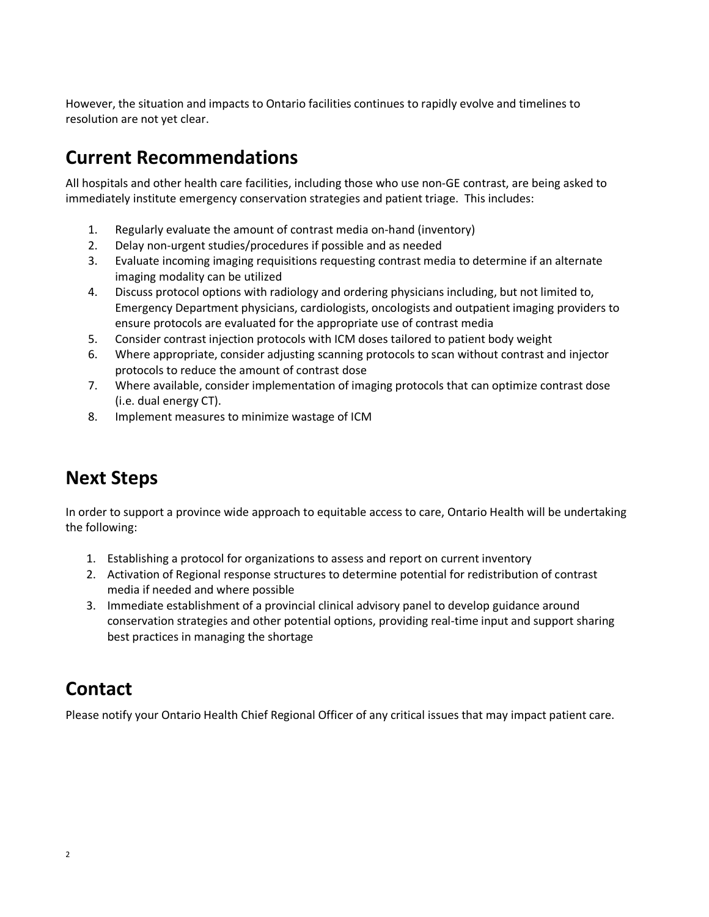However, the situation and impacts to Ontario facilities continues to rapidly evolve and timelines to resolution are not yet clear.

# **Current Recommendations**

All hospitals and other health care facilities, including those who use non-GE contrast, are being asked to immediately institute emergency conservation strategies and patient triage. This includes:

- 1. Regularly evaluate the amount of contrast media on-hand (inventory)
- 2. Delay non-urgent studies/procedures if possible and as needed
- 3. Evaluate incoming imaging requisitions requesting contrast media to determine if an alternate imaging modality can be utilized
- 4. Discuss protocol options with radiology and ordering physicians including, but not limited to, Emergency Department physicians, cardiologists, oncologists and outpatient imaging providers to ensure protocols are evaluated for the appropriate use of contrast media
- 5. Consider contrast injection protocols with ICM doses tailored to patient body weight
- 6. Where appropriate, consider adjusting scanning protocols to scan without contrast and injector protocols to reduce the amount of contrast dose
- 7. Where available, consider implementation of imaging protocols that can optimize contrast dose (i.e. dual energy CT).
- 8. Implement measures to minimize wastage of ICM

#### **Next Steps**

In order to support a province wide approach to equitable access to care, Ontario Health will be undertaking the following:

- 1. Establishing a protocol for organizations to assess and report on current inventory
- 2. Activation of Regional response structures to determine potential for redistribution of contrast media if needed and where possible
- 3. Immediate establishment of a provincial clinical advisory panel to develop guidance around conservation strategies and other potential options, providing real-time input and support sharing best practices in managing the shortage

# **Contact**

Please notify your Ontario Health Chief Regional Officer of any critical issues that may impact patient care.